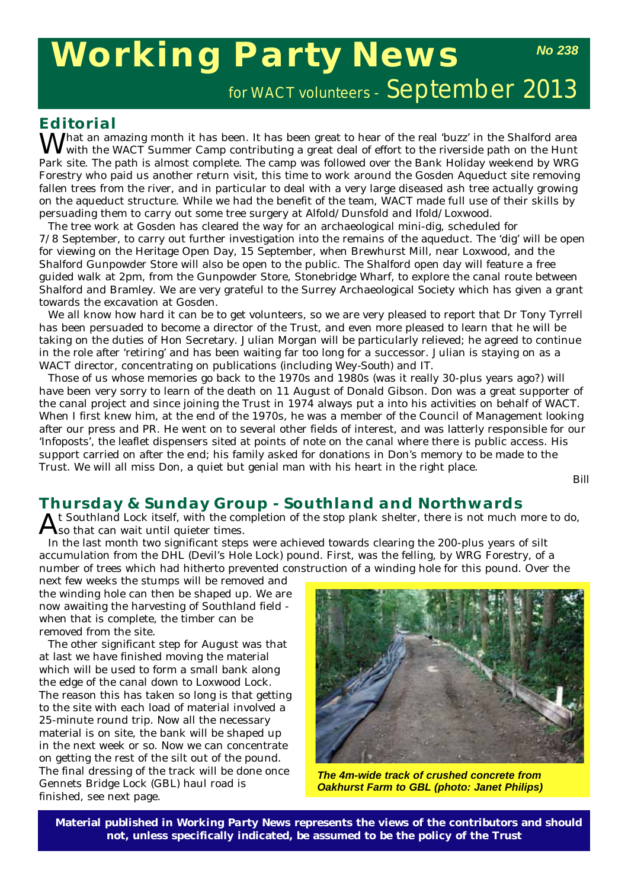# **Working Party News**

for WACT volunteers - September 2013

## **Editorial**

 $M^\prime$ hat an amazing month it has been. It has been great to hear of the real 'buzz' in the Shalford area with the WACT Summer Camp contributing a great deal of effort to the riverside path on the Hunt Park site. The path is almost complete. The camp was followed over the Bank Holiday weekend by WRG Forestry who paid us another return visit, this time to work around the Gosden Aqueduct site removing fallen trees from the river, and in particular to deal with a very large diseased ash tree actually growing on the aqueduct structure. While we had the benefit of the team, WACT made full use of their skills by persuading them to carry out some tree surgery at Alfold/Dunsfold and Ifold/Loxwood.

The tree work at Gosden has cleared the way for an archaeological mini-dig, scheduled for 7/8 September, to carry out further investigation into the remains of the aqueduct. The 'dig' will be open for viewing on the Heritage Open Day, 15 September, when Brewhurst Mill, near Loxwood, and the Shalford Gunpowder Store will also be open to the public. The Shalford open day will feature a free guided walk at 2pm, from the Gunpowder Store, Stonebridge Wharf, to explore the canal route between Shalford and Bramley. We are very grateful to the Surrey Archaeological Society which has given a grant towards the excavation at Gosden.

We all know how hard it can be to get volunteers, so we are very pleased to report that Dr Tony Tyrrell has been persuaded to become a director of the Trust, and even more pleased to learn that he will be taking on the duties of Hon Secretary. Julian Morgan will be particularly relieved; he agreed to continue in the role after 'retiring' and has been waiting far too long for a successor. Julian is staying on as a WACT director, concentrating on publications (including *Wey-South*) and IT.

Those of us whose memories go back to the 1970s and 1980s (was it really 30-plus years ago?) will have been very sorry to learn of the death on 11 August of Donald Gibson. Don was a great supporter of the canal project and since joining the Trust in 1974 always put a into his activities on behalf of WACT. When I first knew him, at the end of the 1970s, he was a member of the Council of Management looking after our press and PR. He went on to several other fields of interest, and was latterly responsible for our 'Infoposts', the leaflet dispensers sited at points of note on the canal where there is public access. His support carried on after the end; his family asked for donations in Don's memory to be made to the Trust. We will all miss Don, a quiet but genial man with his heart in the right place.

*Bill*

# **Thursday & Sunday Group - Southland and Northwards**

 $A$ t Southland Lock itself, with the completion of the stop plank shelter, there is not much more to do,  $A$ so that can wait until quieter times.

In the last month two significant steps were achieved towards clearing the 200-plus years of silt accumulation from the DHL (Devil's Hole Lock) pound. First, was the felling, by WRG Forestry, of a number of trees which had hitherto prevented construction of a winding hole for this pound. Over the

next few weeks the stumps will be removed and the winding hole can then be shaped up. We are now awaiting the harvesting of Southland field when that is complete, the timber can be removed from the site.

The other significant step for August was that at last we have finished moving the material which will be used to form a small bank along the edge of the canal down to Loxwood Lock. The reason this has taken so long is that getting to the site with each load of material involved a 25-minute round trip. Now all the necessary material is on site, the bank will be shaped up in the next week or so. Now we can concentrate on getting the rest of the silt out of the pound. The final dressing of the track will be done once Gennets Bridge Lock (GBL) haul road is finished, see next page.



*The 4m-wide track of crushed concrete from Oakhurst Farm to GBL (photo: Janet Philips)*

**Material published in** *Working Party News* **represents the views of the contributors and should not, unless specifically indicated, be assumed to be the policy of the Trust**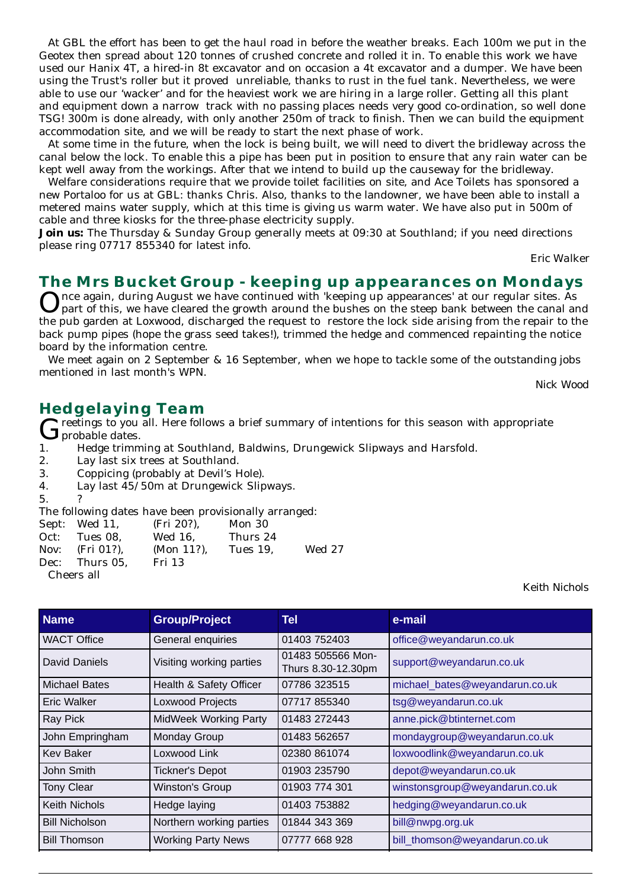At GBL the effort has been to get the haul road in before the weather breaks. Each 100m we put in the Geotex then spread about 120 tonnes of crushed concrete and rolled it in. To enable this work we have used our Hanix 4T, a hired-in 8t excavator and on occasion a 4t excavator and a dumper. We have been using the Trust's roller but it proved unreliable, thanks to rust in the fuel tank. Nevertheless, we were able to use our 'wacker' and for the heaviest work we are hiring in a large roller. Getting all this plant and equipment down a narrow track with no passing places needs very good co-ordination, so well done TSG! 300m is done already, with only another 250m of track to finish. Then we can build the equipment accommodation site, and we will be ready to start the next phase of work.

At some time in the future, when the lock is being built, we will need to divert the bridleway across the canal below the lock. To enable this a pipe has been put in position to ensure that any rain water can be kept well away from the workings. After that we intend to build up the causeway for the bridleway.

Welfare considerations require that we provide toilet facilities on site, and Ace Toilets has sponsored a new Portaloo for us at GBL: thanks Chris. Also, thanks to the landowner, we have been able to install a metered mains water supply, which at this time is giving us warm water. We have also put in 500m of cable and three kiosks for the three-phase electricity supply.

**Join us:** The Thursday & Sunday Group generally meets at 09:30 at Southland; if you need directions please ring 07717 855340 for latest info.

*Eric Walker*

#### **The Mrs Bucket Group - keeping up appearances on Mondays**

nce again, during August we have continued with 'keeping up appearances' at our regular sites. As part of this, we have cleared the growth around the bushes on the steep bank between the canal and the pub garden at Loxwood, discharged the request to restore the lock side arising from the repair to the back pump pipes (hope the grass seed takes!), trimmed the hedge and commenced repainting the notice board by the information centre.

We meet again on 2 September & 16 September, when we hope to tackle some of the outstanding jobs mentioned in last month's WPN.

*Nick Wood*

#### **Hedgelaying Team**

Greetings to you all. Here follows a brief summary of intentions for this season with appropriate<br>1. Hedge trimming at Southland, Baldwins, Drungewick Slipways and Harsfold.  $\boldsymbol{J}$ probable dates.

- 1. Hedge trimming at Southland, Baldwins, Drungewick Slipways and Harsfold.
- 2. Lay last six trees at Southland.
- 3. Coppicing (probably at Devil's Hole).
- 4. Lay last 45/50m at Drungewick Slipways.
- $5<sub>1</sub>$

The following dates have been provisionally arranged:

|      | Sept: Wed 11,      | (Fri 20?),    | Mon 30   |               |
|------|--------------------|---------------|----------|---------------|
| Oct: | Tues 08.           | Wed 16.       | Thurs 24 |               |
|      | Nov: $(Fri 01?)$ , | $(Mon 11?)$ . | Tues 19. | <b>Wed 27</b> |
|      | Dec: Thurs 05.     | Fri 13        |          |               |
|      | Cheers all         |               |          |               |

*Keith Nichols*

| <b>Name</b>           | <b>Group/Project</b>         | Tell                                    | e-mail                         |
|-----------------------|------------------------------|-----------------------------------------|--------------------------------|
| <b>WACT Office</b>    | General enquiries            | 01403 752403                            | office@weyandarun.co.uk        |
| David Daniels         | Visiting working parties     | 01483 505566 Mon-<br>Thurs 8.30-12.30pm | support@weyandarun.co.uk       |
| <b>Michael Bates</b>  | Health & Safety Officer      | 07786 323515                            | michael_bates@weyandarun.co.uk |
| Eric Walker           | <b>Loxwood Projects</b>      | 07717 855340                            | tsg@weyandarun.co.uk           |
| <b>Ray Pick</b>       | <b>MidWeek Working Party</b> | 01483 272443                            | anne.pick@btinternet.com       |
| John Empringham       | Monday Group                 | 01483 562657                            | mondaygroup@weyandarun.co.uk   |
| Kev Baker             | Loxwood Link                 | 02380 861074                            | loxwoodlink@weyandarun.co.uk   |
| John Smith            | <b>Tickner's Depot</b>       | 01903 235790                            | depot@weyandarun.co.uk         |
| <b>Tony Clear</b>     | Winston's Group              | 01903 774 301                           | winstonsgroup@weyandarun.co.uk |
| <b>Keith Nichols</b>  | Hedge laying                 | 01403 753882                            | hedging@weyandarun.co.uk       |
| <b>Bill Nicholson</b> | Northern working parties     | 01844 343 369                           | bill@nwpg.org.uk               |
| <b>Bill Thomson</b>   | <b>Working Party News</b>    | 07777 668 928                           | bill_thomson@weyandarun.co.uk  |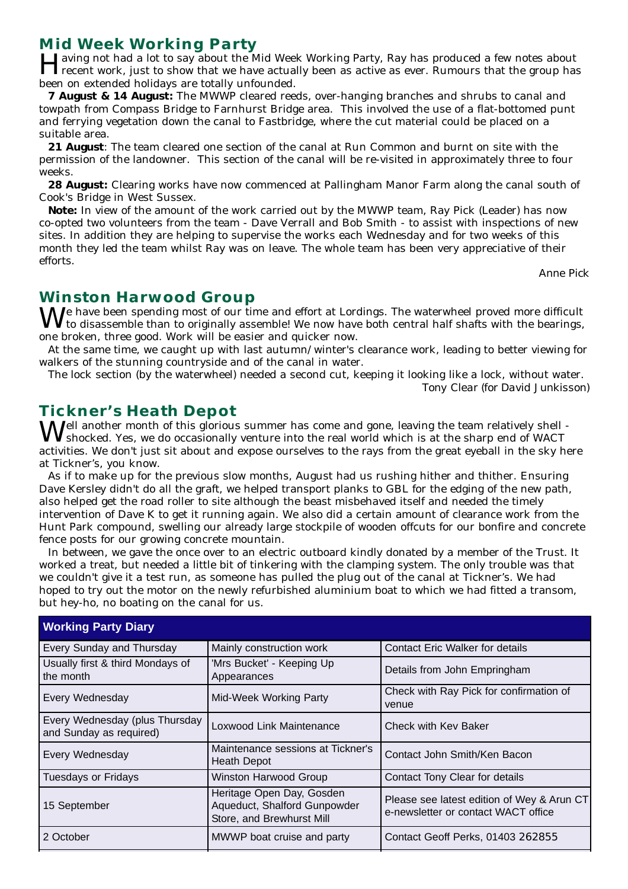## **Mid Week Working Party**

Having not had a lot to say about the Mid Week Working Party, Ray has produced a few notes about recent work, just to show that we have actually been as active as ever. Rumours that the group has been on extended holidays are totally unfounded.

**7 August & 14 August:** The MWWP cleared reeds, over-hanging branches and shrubs to canal and towpath from Compass Bridge to Farnhurst Bridge area. This involved the use of a flat-bottomed punt and ferrying vegetation down the canal to Fastbridge, where the cut material could be placed on a suitable area.

**21 August**: The team cleared one section of the canal at Run Common and burnt on site with the permission of the landowner. This section of the canal will be re-visited in approximately three to four weeks.

**28 August:** Clearing works have now commenced at Pallingham Manor Farm along the canal south of Cook's Bridge in West Sussex.

**Note:** In view of the amount of the work carried out by the MWWP team, Ray Pick (Leader) has now co-opted two volunteers from the team - Dave Verrall and Bob Smith - to assist with inspections of new sites. In addition they are helping to supervise the works each Wednesday and for two weeks of this month they led the team whilst Ray was on leave. The whole team has been very appreciative of their efforts.

*Anne Pick*

### **Winston Harwood Group**

 $\mathbf{W}$ e have been spending most of our time and effort at Lordings. The waterwheel proved more difficult to disassemble than to originally assemble! We now have both central half shafts with the bearings, one broken, three good. Work will be easier and quicker now.

At the same time, we caught up with last autumn/winter's clearance work, leading to better viewing for walkers of the stunning countryside and of the canal in water.

The lock section (by the waterwheel) needed a second cut, keeping it looking like a lock, without water. *Tony Clear (for David Junkisson)*

## **Tickner's Heath Depot**

Well another month of this glorious summer has come and gone, leaving the team relatively shell shocked. Yes, we do occasionally venture into the real world which is at the sharp end of WACT activities. We don't just sit about and expose ourselves to the rays from the great eyeball in the sky here at Tickner's, you know.

As if to make up for the previous slow months, August had us rushing hither and thither. Ensuring Dave Kersley didn't do all the graft, we helped transport planks to GBL for the edging of the new path, also helped get the road roller to site although the beast misbehaved itself and needed the timely intervention of Dave K to get it running again. We also did a certain amount of clearance work from the Hunt Park compound, swelling our already large stockpile of wooden offcuts for our bonfire and concrete fence posts for our growing concrete mountain.

In between, we gave the once over to an electric outboard kindly donated by a member of the Trust. It worked a treat, but needed a little bit of tinkering with the clamping system. The only trouble was that we couldn't give it a test run, as someone has pulled the plug out of the canal at Tickner's. We had hoped to try out the motor on the newly refurbished aluminium boat to which we had fitted a transom, but hey-ho, no boating on the canal for us.

| <b>Working Party Diary</b>                                |                                                                                        |                                                                                   |  |  |  |  |
|-----------------------------------------------------------|----------------------------------------------------------------------------------------|-----------------------------------------------------------------------------------|--|--|--|--|
| <b>Every Sunday and Thursday</b>                          | Mainly construction work                                                               | <b>Contact Eric Walker for details</b>                                            |  |  |  |  |
| Usually first & third Mondays of<br>I the month           | 'Mrs Bucket' - Keeping Up<br>Appearances                                               | Details from John Empringham                                                      |  |  |  |  |
| Every Wednesday                                           | <b>Mid-Week Working Party</b>                                                          | Check with Ray Pick for confirmation of<br>venue                                  |  |  |  |  |
| Every Wednesday (plus Thursday<br>and Sunday as required) | Loxwood Link Maintenance                                                               | Check with Key Baker                                                              |  |  |  |  |
| Every Wednesday                                           | Maintenance sessions at Tickner's<br><b>Heath Depot</b>                                | Contact John Smith/Ken Bacon                                                      |  |  |  |  |
| Tuesdays or Fridays                                       | Winston Harwood Group                                                                  | Contact Tony Clear for details                                                    |  |  |  |  |
| 15 September                                              | Heritage Open Day, Gosden<br>Aqueduct, Shalford Gunpowder<br>Store, and Brewhurst Mill | Please see latest edition of Wey & Arun CT<br>e-newsletter or contact WACT office |  |  |  |  |
| 2 October                                                 | MWWP boat cruise and party                                                             | Contact Geoff Perks, 01403 262855                                                 |  |  |  |  |